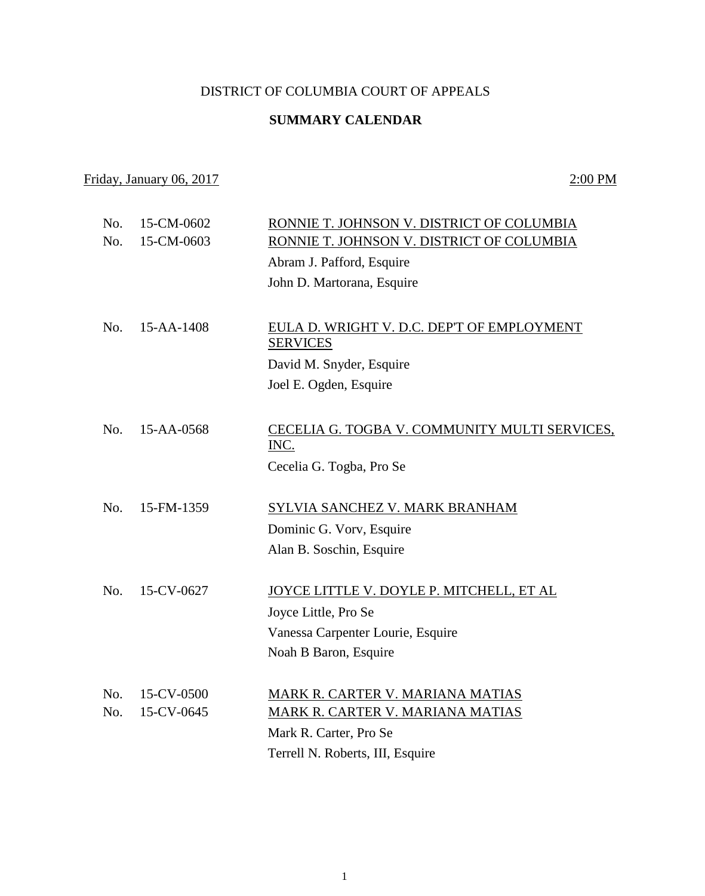## DISTRICT OF COLUMBIA COURT OF APPEALS

## **SUMMARY CALENDAR**

## Friday, January 06, 2017 2:00 PM

| No. | 15-CM-0602 | RONNIE T. JOHNSON V. DISTRICT OF COLUMBIA                     |
|-----|------------|---------------------------------------------------------------|
| No. | 15-CM-0603 | RONNIE T. JOHNSON V. DISTRICT OF COLUMBIA                     |
|     |            | Abram J. Pafford, Esquire                                     |
|     |            | John D. Martorana, Esquire                                    |
|     |            |                                                               |
| No. | 15-AA-1408 | EULA D. WRIGHT V. D.C. DEP'T OF EMPLOYMENT<br><b>SERVICES</b> |
|     |            | David M. Snyder, Esquire                                      |
|     |            | Joel E. Ogden, Esquire                                        |
|     |            |                                                               |
| No. | 15-AA-0568 | CECELIA G. TOGBA V. COMMUNITY MULTI SERVICES,<br>INC.         |
|     |            | Cecelia G. Togba, Pro Se                                      |
|     |            |                                                               |
| No. | 15-FM-1359 | SYLVIA SANCHEZ V. MARK BRANHAM                                |
|     |            | Dominic G. Vorv, Esquire                                      |
|     |            | Alan B. Soschin, Esquire                                      |
|     |            |                                                               |
| No. | 15-CV-0627 | JOYCE LITTLE V. DOYLE P. MITCHELL, ET AL                      |
|     |            | Joyce Little, Pro Se                                          |
|     |            | Vanessa Carpenter Lourie, Esquire                             |
|     |            | Noah B Baron, Esquire                                         |
|     |            |                                                               |
| No. | 15-CV-0500 | MARK R. CARTER V. MARIANA MATIAS                              |
| No. | 15-CV-0645 | <b>MARK R. CARTER V. MARIANA MATIAS</b>                       |
|     |            | Mark R. Carter, Pro Se                                        |
|     |            | Terrell N. Roberts, III, Esquire                              |
|     |            |                                                               |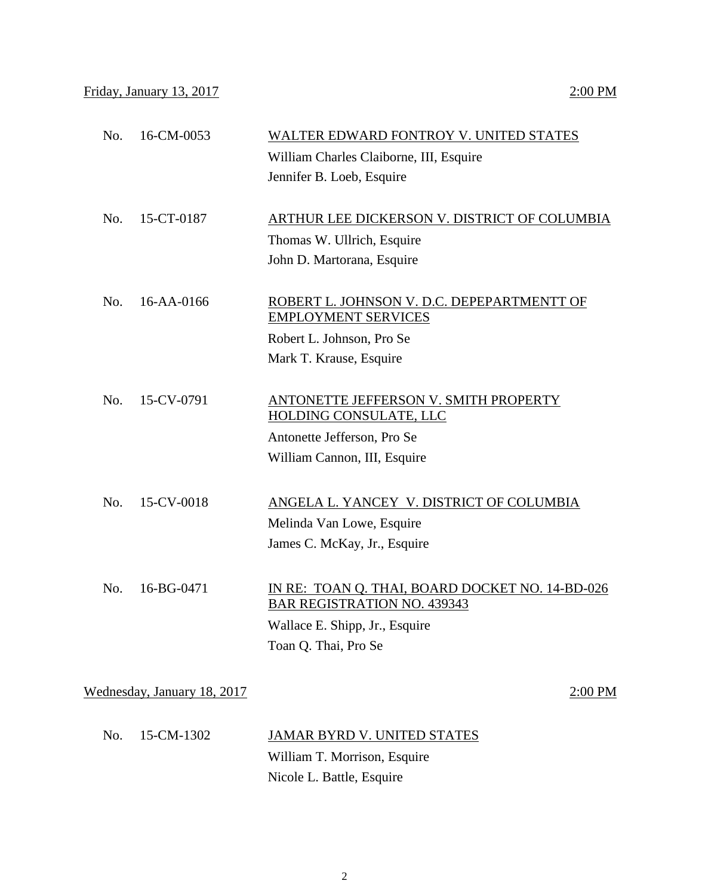| No.<br>16-CM-0053           | WALTER EDWARD FONTROY V. UNITED STATES                                                |
|-----------------------------|---------------------------------------------------------------------------------------|
|                             | William Charles Claiborne, III, Esquire                                               |
|                             | Jennifer B. Loeb, Esquire                                                             |
| No.<br>15-CT-0187           | ARTHUR LEE DICKERSON V. DISTRICT OF COLUMBIA                                          |
|                             |                                                                                       |
|                             | Thomas W. Ullrich, Esquire                                                            |
|                             | John D. Martorana, Esquire                                                            |
| No.<br>16-AA-0166           | ROBERT L. JOHNSON V. D.C. DEPEPARTMENTT OF<br><b>EMPLOYMENT SERVICES</b>              |
|                             | Robert L. Johnson, Pro Se                                                             |
|                             | Mark T. Krause, Esquire                                                               |
|                             |                                                                                       |
| No.<br>15-CV-0791           | ANTONETTE JEFFERSON V. SMITH PROPERTY<br>HOLDING CONSULATE, LLC                       |
|                             | Antonette Jefferson, Pro Se                                                           |
|                             | William Cannon, III, Esquire                                                          |
|                             |                                                                                       |
| 15-CV-0018<br>No.           | ANGELA L. YANCEY V. DISTRICT OF COLUMBIA                                              |
|                             | Melinda Van Lowe, Esquire                                                             |
|                             | James C. McKay, Jr., Esquire                                                          |
|                             |                                                                                       |
| No.<br>16-BG-0471           | IN RE: TOAN Q. THAI, BOARD DOCKET NO. 14-BD-026<br><b>BAR REGISTRATION NO. 439343</b> |
|                             | Wallace E. Shipp, Jr., Esquire                                                        |
|                             | Toan Q. Thai, Pro Se                                                                  |
|                             |                                                                                       |
| Wednesday, January 18, 2017 | 2:00 PM                                                                               |
|                             |                                                                                       |

| No. 15-CM-1302 | <b>JAMAR BYRD V. UNITED STATES</b> |
|----------------|------------------------------------|
|                | William T. Morrison, Esquire       |
|                | Nicole L. Battle, Esquire          |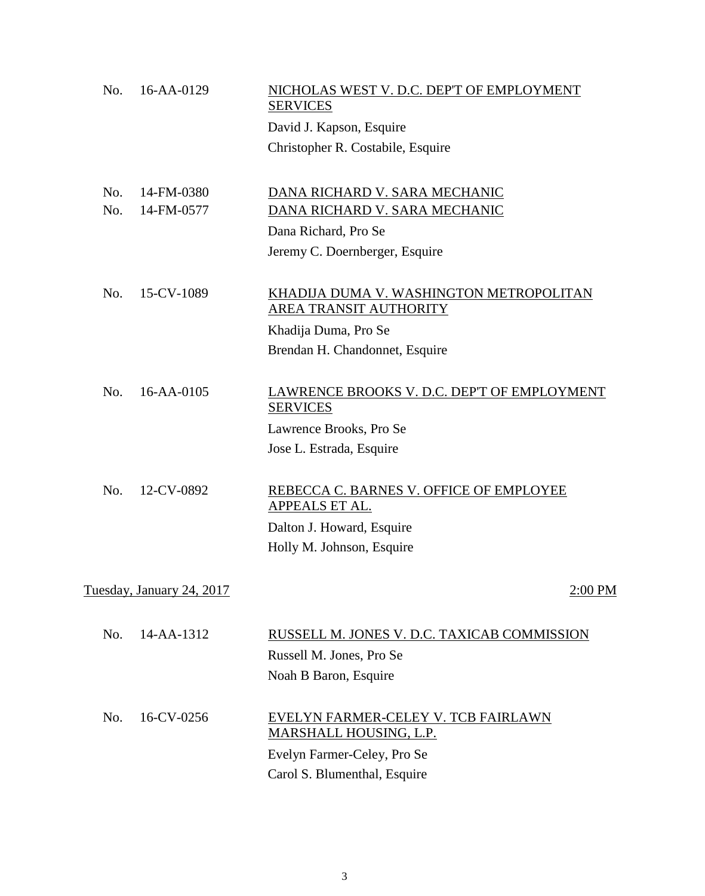| No. | 16-AA-0129                | NICHOLAS WEST V. D.C. DEP'T OF EMPLOYMENT<br><b>SERVICES</b>      |
|-----|---------------------------|-------------------------------------------------------------------|
|     |                           | David J. Kapson, Esquire                                          |
|     |                           | Christopher R. Costabile, Esquire                                 |
| No. | 14-FM-0380                | DANA RICHARD V. SARA MECHANIC                                     |
| No. | 14-FM-0577                | DANA RICHARD V. SARA MECHANIC                                     |
|     |                           | Dana Richard, Pro Se                                              |
|     |                           | Jeremy C. Doernberger, Esquire                                    |
| No. | 15-CV-1089                | KHADIJA DUMA V. WASHINGTON METROPOLITAN<br>AREA TRANSIT AUTHORITY |
|     |                           | Khadija Duma, Pro Se                                              |
|     |                           | Brendan H. Chandonnet, Esquire                                    |
| No. | 16-AA-0105                | LAWRENCE BROOKS V. D.C. DEP'T OF EMPLOYMENT<br><b>SERVICES</b>    |
|     |                           | Lawrence Brooks, Pro Se                                           |
|     |                           | Jose L. Estrada, Esquire                                          |
| No. | 12-CV-0892                | REBECCA C. BARNES V. OFFICE OF EMPLOYEE<br><b>APPEALS ET AL.</b>  |
|     |                           | Dalton J. Howard, Esquire                                         |
|     |                           | Holly M. Johnson, Esquire                                         |
|     | Tuesday, January 24, 2017 | 2:00 PM                                                           |
| No. | 14-AA-1312                | RUSSELL M. JONES V. D.C. TAXICAB COMMISSION                       |
|     |                           | Russell M. Jones, Pro Se                                          |
|     |                           | Noah B Baron, Esquire                                             |
|     |                           |                                                                   |
| No. | 16-CV-0256                | EVELYN FARMER-CELEY V. TCB FAIRLAWN<br>MARSHALL HOUSING, L.P.     |
|     |                           | Evelyn Farmer-Celey, Pro Se                                       |
|     |                           | Carol S. Blumenthal, Esquire                                      |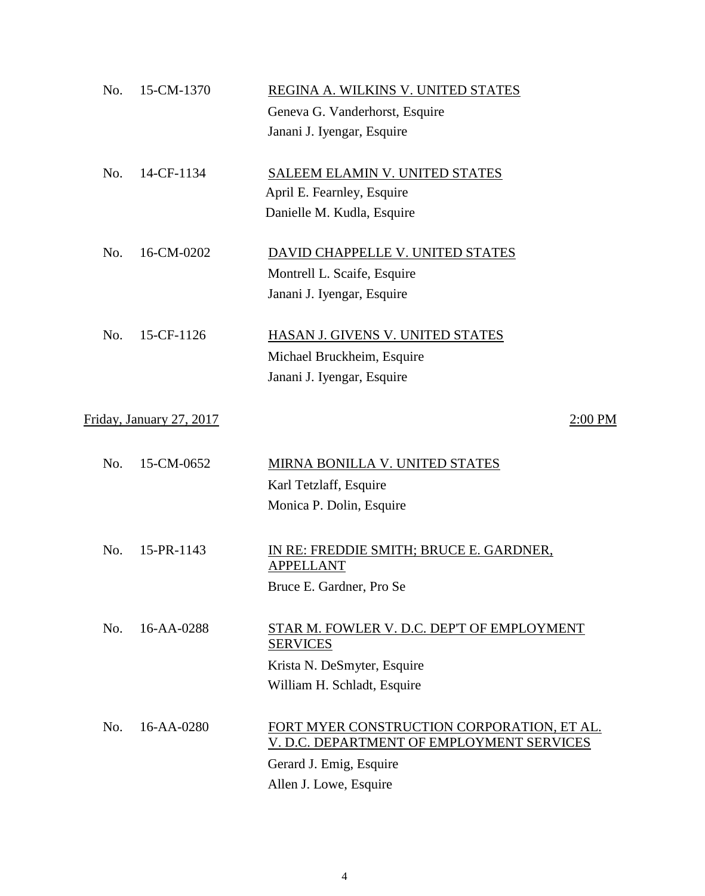| No. | 15-CM-1370               | REGINA A. WILKINS V. UNITED STATES                                                      |
|-----|--------------------------|-----------------------------------------------------------------------------------------|
|     |                          | Geneva G. Vanderhorst, Esquire                                                          |
|     |                          | Janani J. Iyengar, Esquire                                                              |
| No. | 14-CF-1134               | SALEEM ELAMIN V. UNITED STATES                                                          |
|     |                          | April E. Fearnley, Esquire                                                              |
|     |                          | Danielle M. Kudla, Esquire                                                              |
| No. | 16-CM-0202               | DAVID CHAPPELLE V. UNITED STATES                                                        |
|     |                          | Montrell L. Scaife, Esquire                                                             |
|     |                          | Janani J. Iyengar, Esquire                                                              |
| No. | 15-CF-1126               | HASAN J. GIVENS V. UNITED STATES                                                        |
|     |                          | Michael Bruckheim, Esquire                                                              |
|     |                          | Janani J. Iyengar, Esquire                                                              |
|     | Friday, January 27, 2017 | $2:00$ PM                                                                               |
|     |                          |                                                                                         |
| No. | 15-CM-0652               | MIRNA BONILLA V. UNITED STATES                                                          |
|     |                          | Karl Tetzlaff, Esquire                                                                  |
|     |                          | Monica P. Dolin, Esquire                                                                |
| No. | 15-PR-1143               | IN RE: FREDDIE SMITH; BRUCE E. GARDNER,<br><b>APPELLANT</b>                             |
|     |                          | Bruce E. Gardner, Pro Se                                                                |
| No. | 16-AA-0288               | STAR M. FOWLER V. D.C. DEP'T OF EMPLOYMENT<br><b>SERVICES</b>                           |
|     |                          | Krista N. DeSmyter, Esquire                                                             |
|     |                          | William H. Schladt, Esquire                                                             |
| No. | $16 - AA - 0280$         | FORT MYER CONSTRUCTION CORPORATION, ET AL.<br>V. D.C. DEPARTMENT OF EMPLOYMENT SERVICES |
|     |                          | Gerard J. Emig, Esquire                                                                 |
|     |                          | Allen J. Lowe, Esquire                                                                  |